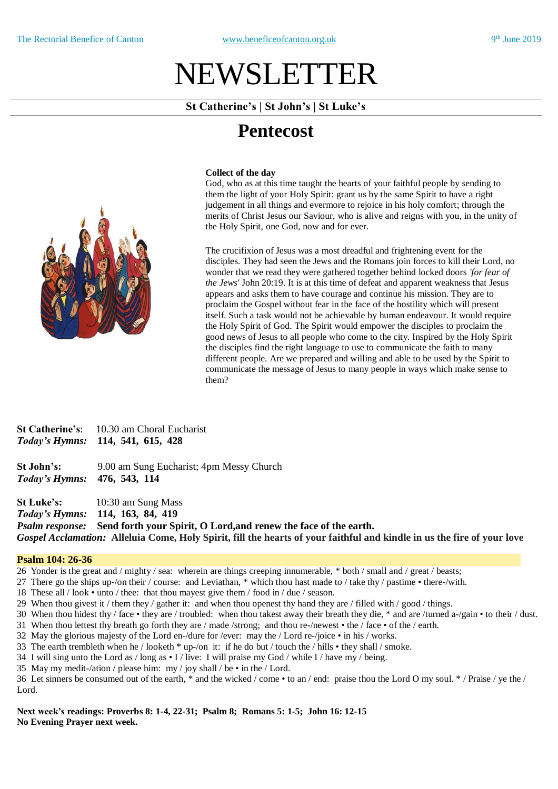# NEWSLETTER

## **St Catherine's | St John's | St Luke's**

# **Pentecost**

### **Collect of the day**

God, who as at this time taught the hearts of your faithful people by sending to them the light of your Holy Spirit: grant us by the same Spirit to have a right judgement in all things and evermore to rejoice in his holy comfort; through the merits of Christ Jesus our Saviour, who is alive and reigns with you, in the unity of the Holy Spirit, one God, now and for ever.

The crucifixion of Jesus was a most dreadful and frightening event for the disciples. They had seen the Jews and the Romans join forces to kill their Lord, no wonder that we read they were gathered together behind locked doors *'for fear of the Jews'* John 20:19. It is at this time of defeat and apparent weakness that Jesus appears and asks them to have courage and continue his mission. They are to proclaim the Gospel without fear in the face of the hostility which will present itself. Such a task would not be achievable by human endeavour. It would require the Holy Spirit of God. The Spirit would empower the disciples to proclaim the good news of Jesus to all people who come to the city. Inspired by the Holy Spirit the disciples find the right language to use to communicate the faith to many different people. Are we prepared and willing and able to be used by the Spirit to communicate the message of Jesus to many people in ways which make sense to them?

**St Catherine's**: 10.30 am Choral Eucharist *Today's Hymns:* **114, 541, 615, 428**

**St John's:** 9.00 am Sung Eucharist; 4pm Messy Church *Today's Hymns:* **476, 543, 114** 

**St Luke's:** 10:30 am Sung Mass

*Today's Hymns:* **114, 163, 84, 419**

*Psalm response:* **Send forth your Spirit, O Lord,and renew the face of the earth.** Gospel Acclamation: Alleluia Come, Holy Spirit, fill the hearts of your faithful and kindle in us the fire of your love

### **Psalm 104: 26-36**

26 Yonder is the great and / mighty / sea: wherein are things creeping innumerable, \* both / small and / great / beasts;

- 27 There go the ships up-/on their / course: and Leviathan, \* which thou hast made to / take thy / pastime there-/with.
- 18 These all / look unto / thee: that thou mayest give them / food in / due / season.
- 29 When thou givest it / them they / gather it: and when thou openest thy hand they are / filled with / good / things.
- 30 When thou hidest thy / face they are / troubled: when thou takest away their breath they die, \* and are /turned a-/gain to their / dust.
- 31 When thou lettest thy breath go forth they are / made /strong; and thou re-/newest the / face of the / earth.
- 32 May the glorious majesty of the Lord en-/dure for /ever: may the / Lord re-/joice in his / works.
- 33 The earth trembleth when he / looketh \* up-/on it: if he do but / touch the / hills they shall / smoke.
- 34 I will sing unto the Lord as  $/$ long as  $\cdot$  I  $/$  live: I will praise my God  $/$  while I $/$  have my  $/$  being.
- 35 May my medit-/ation / please him: my / joy shall / be in the / Lord.

36 Let sinners be consumed out of the earth, \* and the wicked / come • to an / end: praise thou the Lord O my soul. \* / Praise / ye the / Lord.

**Next week's readings: Proverbs 8: 1-4, 22-31; Psalm 8; Romans 5: 1-5; John 16: 12-15 No Evening Prayer next week.**